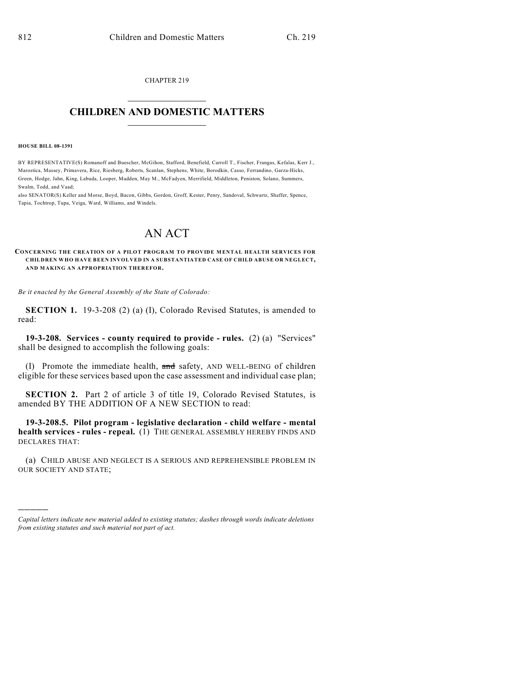CHAPTER 219  $\mathcal{L}_\text{max}$  . The set of the set of the set of the set of the set of the set of the set of the set of the set of the set of the set of the set of the set of the set of the set of the set of the set of the set of the set

## **CHILDREN AND DOMESTIC MATTERS**  $\_$

#### **HOUSE BILL 08-1391**

)))))

BY REPRESENTATIVE(S) Romanoff and Buescher, McGihon, Stafford, Benefield, Carroll T., Fischer, Frangas, Kefalas, Kerr J., Marostica, Massey, Primavera, Rice, Riesberg, Roberts, Scanlan, Stephens, White, Borodkin, Casso, Ferrandino, Garza-Hicks, Green, Hodge, Jahn, King, Labuda, Looper, Madden, May M., McFadyen, Merrifield, Middleton, Peniston, Solano, Summers, Swalm, Todd, and Vaad;

also SENATOR(S) Keller and Morse, Boyd, Bacon, Gibbs, Gordon, Groff, Kester, Penry, Sandoval, Schwartz, Shaffer, Spence, Tapia, Tochtrop, Tupa, Veiga, Ward, Williams, and Windels.

# AN ACT

### **CONCERNING THE CREATION OF A PILOT PROGRAM TO PROVIDE MENTAL HEALTH SERVICES FOR CHILDREN WHO HAVE BEEN INVOLVED IN A SUBSTANTIATED CASE OF CHILD ABUSE OR NEGLECT, AND MAKING AN APPROPRIATION THEREFOR.**

*Be it enacted by the General Assembly of the State of Colorado:*

**SECTION 1.** 19-3-208 (2) (a) (I), Colorado Revised Statutes, is amended to read:

**19-3-208. Services - county required to provide - rules.** (2) (a) "Services" shall be designed to accomplish the following goals:

(I) Promote the immediate health, and safety, AND WELL-BEING of children eligible for these services based upon the case assessment and individual case plan;

**SECTION 2.** Part 2 of article 3 of title 19, Colorado Revised Statutes, is amended BY THE ADDITION OF A NEW SECTION to read:

**19-3-208.5. Pilot program - legislative declaration - child welfare - mental health services - rules - repeal.** (1) THE GENERAL ASSEMBLY HEREBY FINDS AND DECLARES THAT:

(a) CHILD ABUSE AND NEGLECT IS A SERIOUS AND REPREHENSIBLE PROBLEM IN OUR SOCIETY AND STATE;

*Capital letters indicate new material added to existing statutes; dashes through words indicate deletions from existing statutes and such material not part of act.*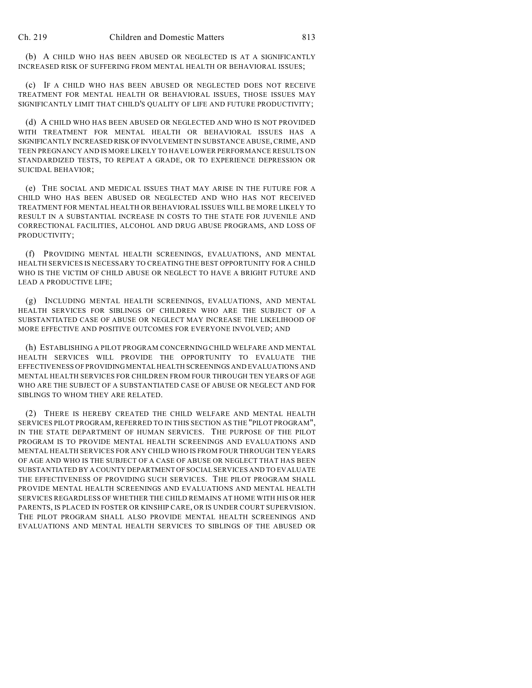(b) A CHILD WHO HAS BEEN ABUSED OR NEGLECTED IS AT A SIGNIFICANTLY INCREASED RISK OF SUFFERING FROM MENTAL HEALTH OR BEHAVIORAL ISSUES;

(c) IF A CHILD WHO HAS BEEN ABUSED OR NEGLECTED DOES NOT RECEIVE TREATMENT FOR MENTAL HEALTH OR BEHAVIORAL ISSUES, THOSE ISSUES MAY SIGNIFICANTLY LIMIT THAT CHILD'S QUALITY OF LIFE AND FUTURE PRODUCTIVITY;

(d) A CHILD WHO HAS BEEN ABUSED OR NEGLECTED AND WHO IS NOT PROVIDED WITH TREATMENT FOR MENTAL HEALTH OR BEHAVIORAL ISSUES HAS A SIGNIFICANTLY INCREASED RISK OF INVOLVEMENT IN SUBSTANCE ABUSE, CRIME, AND TEEN PREGNANCY AND IS MORE LIKELY TO HAVE LOWER PERFORMANCE RESULTS ON STANDARDIZED TESTS, TO REPEAT A GRADE, OR TO EXPERIENCE DEPRESSION OR SUICIDAL BEHAVIOR;

(e) THE SOCIAL AND MEDICAL ISSUES THAT MAY ARISE IN THE FUTURE FOR A CHILD WHO HAS BEEN ABUSED OR NEGLECTED AND WHO HAS NOT RECEIVED TREATMENT FOR MENTAL HEALTH OR BEHAVIORAL ISSUES WILL BE MORE LIKELY TO RESULT IN A SUBSTANTIAL INCREASE IN COSTS TO THE STATE FOR JUVENILE AND CORRECTIONAL FACILITIES, ALCOHOL AND DRUG ABUSE PROGRAMS, AND LOSS OF PRODUCTIVITY;

(f) PROVIDING MENTAL HEALTH SCREENINGS, EVALUATIONS, AND MENTAL HEALTH SERVICES IS NECESSARY TO CREATING THE BEST OPPORTUNITY FOR A CHILD WHO IS THE VICTIM OF CHILD ABUSE OR NEGLECT TO HAVE A BRIGHT FUTURE AND LEAD A PRODUCTIVE LIFE;

(g) INCLUDING MENTAL HEALTH SCREENINGS, EVALUATIONS, AND MENTAL HEALTH SERVICES FOR SIBLINGS OF CHILDREN WHO ARE THE SUBJECT OF A SUBSTANTIATED CASE OF ABUSE OR NEGLECT MAY INCREASE THE LIKELIHOOD OF MORE EFFECTIVE AND POSITIVE OUTCOMES FOR EVERYONE INVOLVED; AND

(h) ESTABLISHING A PILOT PROGRAM CONCERNING CHILD WELFARE AND MENTAL HEALTH SERVICES WILL PROVIDE THE OPPORTUNITY TO EVALUATE THE EFFECTIVENESS OF PROVIDING MENTAL HEALTH SCREENINGS AND EVALUATIONS AND MENTAL HEALTH SERVICES FOR CHILDREN FROM FOUR THROUGH TEN YEARS OF AGE WHO ARE THE SUBJECT OF A SUBSTANTIATED CASE OF ABUSE OR NEGLECT AND FOR SIBLINGS TO WHOM THEY ARE RELATED.

(2) THERE IS HEREBY CREATED THE CHILD WELFARE AND MENTAL HEALTH SERVICES PILOT PROGRAM, REFERRED TO IN THIS SECTION AS THE "PILOT PROGRAM", IN THE STATE DEPARTMENT OF HUMAN SERVICES. THE PURPOSE OF THE PILOT PROGRAM IS TO PROVIDE MENTAL HEALTH SCREENINGS AND EVALUATIONS AND MENTAL HEALTH SERVICES FOR ANY CHILD WHO IS FROM FOUR THROUGH TEN YEARS OF AGE AND WHO IS THE SUBJECT OF A CASE OF ABUSE OR NEGLECT THAT HAS BEEN SUBSTANTIATED BY A COUNTY DEPARTMENT OF SOCIAL SERVICES AND TO EVALUATE THE EFFECTIVENESS OF PROVIDING SUCH SERVICES. THE PILOT PROGRAM SHALL PROVIDE MENTAL HEALTH SCREENINGS AND EVALUATIONS AND MENTAL HEALTH SERVICES REGARDLESS OF WHETHER THE CHILD REMAINS AT HOME WITH HIS OR HER PARENTS, IS PLACED IN FOSTER OR KINSHIP CARE, OR IS UNDER COURT SUPERVISION. THE PILOT PROGRAM SHALL ALSO PROVIDE MENTAL HEALTH SCREENINGS AND EVALUATIONS AND MENTAL HEALTH SERVICES TO SIBLINGS OF THE ABUSED OR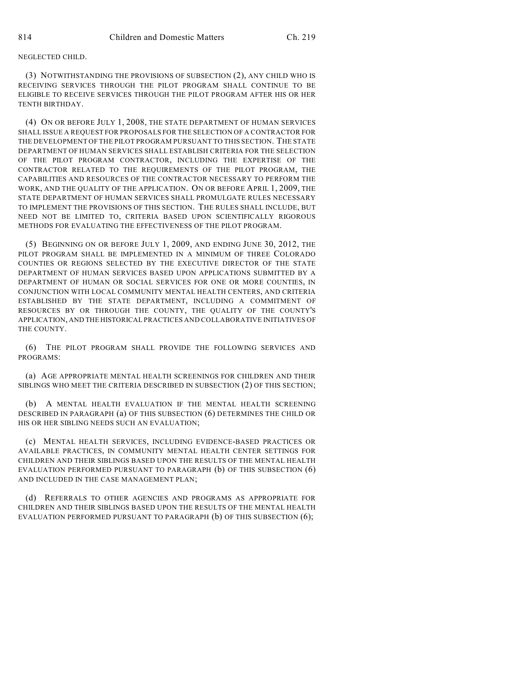### NEGLECTED CHILD.

(3) NOTWITHSTANDING THE PROVISIONS OF SUBSECTION (2), ANY CHILD WHO IS RECEIVING SERVICES THROUGH THE PILOT PROGRAM SHALL CONTINUE TO BE ELIGIBLE TO RECEIVE SERVICES THROUGH THE PILOT PROGRAM AFTER HIS OR HER TENTH BIRTHDAY.

(4) ON OR BEFORE JULY 1, 2008, THE STATE DEPARTMENT OF HUMAN SERVICES SHALL ISSUE A REQUEST FOR PROPOSALS FOR THE SELECTION OF A CONTRACTOR FOR THE DEVELOPMENT OF THE PILOT PROGRAM PURSUANT TO THIS SECTION. THE STATE DEPARTMENT OF HUMAN SERVICES SHALL ESTABLISH CRITERIA FOR THE SELECTION OF THE PILOT PROGRAM CONTRACTOR, INCLUDING THE EXPERTISE OF THE CONTRACTOR RELATED TO THE REQUIREMENTS OF THE PILOT PROGRAM, THE CAPABILITIES AND RESOURCES OF THE CONTRACTOR NECESSARY TO PERFORM THE WORK, AND THE QUALITY OF THE APPLICATION. ON OR BEFORE APRIL 1, 2009, THE STATE DEPARTMENT OF HUMAN SERVICES SHALL PROMULGATE RULES NECESSARY TO IMPLEMENT THE PROVISIONS OF THIS SECTION. THE RULES SHALL INCLUDE, BUT NEED NOT BE LIMITED TO, CRITERIA BASED UPON SCIENTIFICALLY RIGOROUS METHODS FOR EVALUATING THE EFFECTIVENESS OF THE PILOT PROGRAM.

(5) BEGINNING ON OR BEFORE JULY 1, 2009, AND ENDING JUNE 30, 2012, THE PILOT PROGRAM SHALL BE IMPLEMENTED IN A MINIMUM OF THREE COLORADO COUNTIES OR REGIONS SELECTED BY THE EXECUTIVE DIRECTOR OF THE STATE DEPARTMENT OF HUMAN SERVICES BASED UPON APPLICATIONS SUBMITTED BY A DEPARTMENT OF HUMAN OR SOCIAL SERVICES FOR ONE OR MORE COUNTIES, IN CONJUNCTION WITH LOCAL COMMUNITY MENTAL HEALTH CENTERS, AND CRITERIA ESTABLISHED BY THE STATE DEPARTMENT, INCLUDING A COMMITMENT OF RESOURCES BY OR THROUGH THE COUNTY, THE QUALITY OF THE COUNTY'S APPLICATION, AND THE HISTORICAL PRACTICES AND COLLABORATIVE INITIATIVES OF THE COUNTY.

(6) THE PILOT PROGRAM SHALL PROVIDE THE FOLLOWING SERVICES AND PROGRAMS:

(a) AGE APPROPRIATE MENTAL HEALTH SCREENINGS FOR CHILDREN AND THEIR SIBLINGS WHO MEET THE CRITERIA DESCRIBED IN SUBSECTION (2) OF THIS SECTION;

(b) A MENTAL HEALTH EVALUATION IF THE MENTAL HEALTH SCREENING DESCRIBED IN PARAGRAPH (a) OF THIS SUBSECTION (6) DETERMINES THE CHILD OR HIS OR HER SIBLING NEEDS SUCH AN EVALUATION;

(c) MENTAL HEALTH SERVICES, INCLUDING EVIDENCE-BASED PRACTICES OR AVAILABLE PRACTICES, IN COMMUNITY MENTAL HEALTH CENTER SETTINGS FOR CHILDREN AND THEIR SIBLINGS BASED UPON THE RESULTS OF THE MENTAL HEALTH EVALUATION PERFORMED PURSUANT TO PARAGRAPH (b) OF THIS SUBSECTION (6) AND INCLUDED IN THE CASE MANAGEMENT PLAN;

(d) REFERRALS TO OTHER AGENCIES AND PROGRAMS AS APPROPRIATE FOR CHILDREN AND THEIR SIBLINGS BASED UPON THE RESULTS OF THE MENTAL HEALTH EVALUATION PERFORMED PURSUANT TO PARAGRAPH (b) OF THIS SUBSECTION (6);